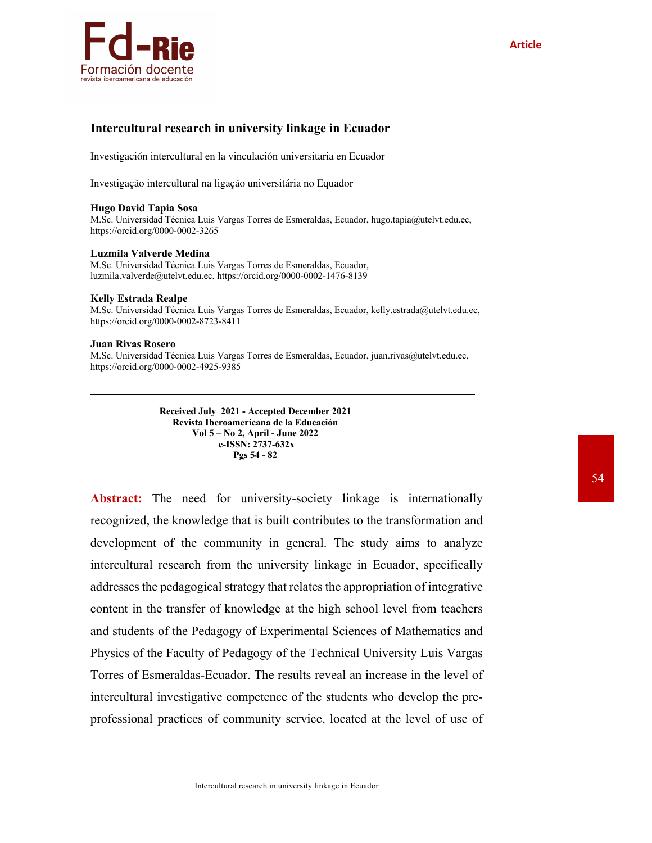

### **Intercultural research in university linkage in Ecuador**

Investigación intercultural en la vinculación universitaria en Ecuador

Investigação intercultural na ligação universitária no Equador

### **Hugo David Tapia Sosa**

M.Sc. Universidad Técnica Luis Vargas Torres de Esmeraldas, Ecuador, hugo.tapia@utelvt.edu.ec, https://orcid.org/0000-0002-3265

### **Luzmila Valverde Medina**

M.Sc. Universidad Técnica Luis Vargas Torres de Esmeraldas, Ecuador, luzmila.valverde@utelvt.edu.ec, https://orcid.org/0000-0002-1476-8139

### **Kelly Estrada Realpe**

M.Sc. Universidad Técnica Luis Vargas Torres de Esmeraldas, Ecuador, kelly.estrada@utelvt.edu.ec, https://orcid.org/0000-0002-8723-8411

### **Juan Rivas Rosero**

M.Sc. Universidad Técnica Luis Vargas Torres de Esmeraldas, Ecuador, juan.rivas@utelvt.edu.ec, https://orcid.org/0000-0002-4925-9385

> **Received July 2021 - Accepted December 2021 Revista Iberoamericana de la Educación Vol 5 – No 2, April - June 2022 e-ISSN: 2737-632x Pgs 54 - 82**

Abstract: The need for university-society linkage is internationally recognized, the knowledge that is built contributes to the transformation and development of the community in general. The study aims to analyze intercultural research from the university linkage in Ecuador, specifically addresses the pedagogical strategy that relates the appropriation of integrative content in the transfer of knowledge at the high school level from teachers and students of the Pedagogy of Experimental Sciences of Mathematics and Physics of the Faculty of Pedagogy of the Technical University Luis Vargas Torres of Esmeraldas-Ecuador. The results reveal an increase in the level of intercultural investigative competence of the students who develop the preprofessional practices of community service, located at the level of use of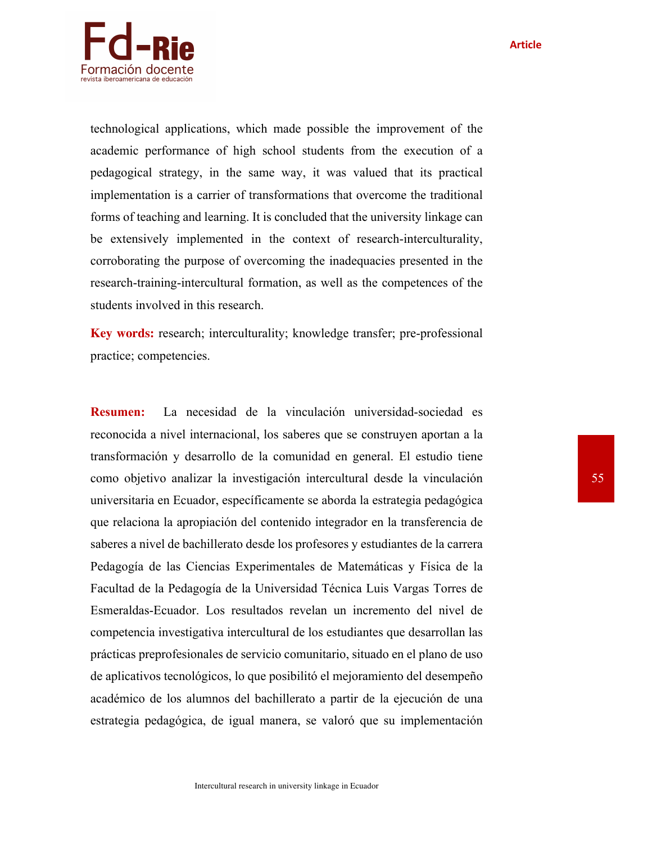**Article**



technological applications, which made possible the improvement of the academic performance of high school students from the execution of a pedagogical strategy, in the same way, it was valued that its practical implementation is a carrier of transformations that overcome the traditional forms of teaching and learning. It is concluded that the university linkage can be extensively implemented in the context of research-interculturality, corroborating the purpose of overcoming the inadequacies presented in the research-training-intercultural formation, as well as the competences of the students involved in this research.

**Key words:** research; interculturality; knowledge transfer; pre-professional practice; competencies.

**Resumen:** La necesidad de la vinculación universidad-sociedad es reconocida a nivel internacional, los saberes que se construyen aportan a la transformación y desarrollo de la comunidad en general. El estudio tiene como objetivo analizar la investigación intercultural desde la vinculación universitaria en Ecuador, específicamente se aborda la estrategia pedagógica que relaciona la apropiación del contenido integrador en la transferencia de saberes a nivel de bachillerato desde los profesores y estudiantes de la carrera Pedagogía de las Ciencias Experimentales de Matemáticas y Física de la Facultad de la Pedagogía de la Universidad Técnica Luis Vargas Torres de Esmeraldas-Ecuador. Los resultados revelan un incremento del nivel de competencia investigativa intercultural de los estudiantes que desarrollan las prácticas preprofesionales de servicio comunitario, situado en el plano de uso de aplicativos tecnológicos, lo que posibilitó el mejoramiento del desempeño académico de los alumnos del bachillerato a partir de la ejecución de una estrategia pedagógica, de igual manera, se valoró que su implementación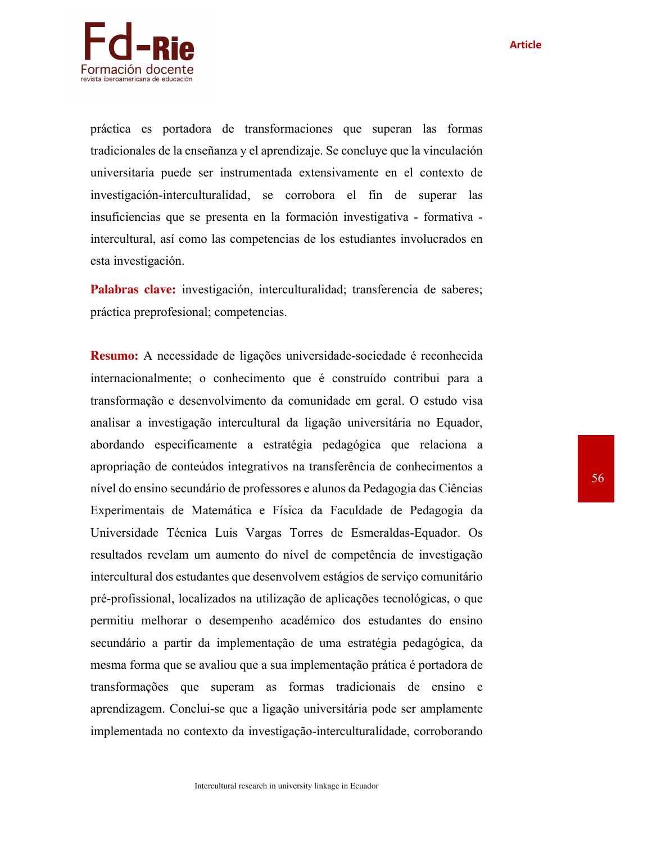

práctica es portadora de transformaciones que superan las formas tradicionales de la enseñanza y el aprendizaje. Se concluye que la vinculación universitaria puede ser instrumentada extensivamente en el contexto de investigación-interculturalidad, se corrobora el fin de superar las insuficiencias que se presenta en la formación investigativa - formativa intercultural, así como las competencias de los estudiantes involucrados en esta investigación.

**Palabras clave:** investigación, interculturalidad; transferencia de saberes; práctica preprofesional; competencias.

**Resumo:** A necessidade de ligações universidade-sociedade é reconhecida internacionalmente; o conhecimento que é construído contribui para a transformação e desenvolvimento da comunidade em geral. O estudo visa analisar a investigação intercultural da ligação universitária no Equador, abordando especificamente a estratégia pedagógica que relaciona a apropriação de conteúdos integrativos na transferência de conhecimentos a nível do ensino secundário de professores e alunos da Pedagogia das Ciências Experimentais de Matemática e Física da Faculdade de Pedagogia da Universidade Técnica Luis Vargas Torres de Esmeraldas-Equador. Os resultados revelam um aumento do nível de competência de investigação intercultural dos estudantes que desenvolvem estágios de serviço comunitário pré-profissional, localizados na utilização de aplicações tecnológicas, o que permitiu melhorar o desempenho académico dos estudantes do ensino secundário a partir da implementação de uma estratégia pedagógica, da mesma forma que se avaliou que a sua implementação prática é portadora de transformações que superam as formas tradicionais de ensino e aprendizagem. Conclui-se que a ligação universitária pode ser amplamente implementada no contexto da investigação-interculturalidade, corroborando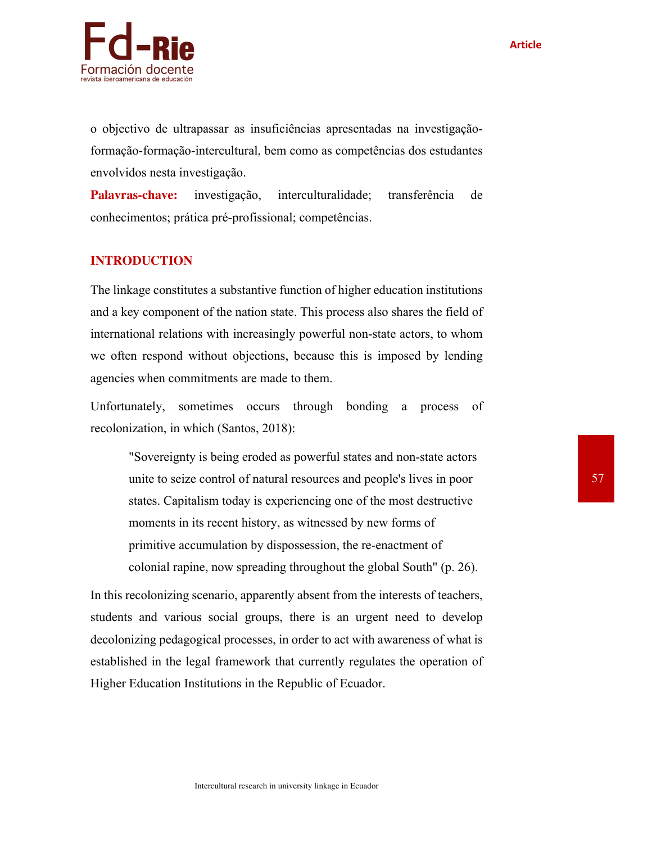

o objectivo de ultrapassar as insuficiências apresentadas na investigaçãoformação-formação-intercultural, bem como as competências dos estudantes envolvidos nesta investigação.

**Palavras-chave:** investigação, interculturalidade; transferência de conhecimentos; prática pré-profissional; competências.

## **INTRODUCTION**

The linkage constitutes a substantive function of higher education institutions and a key component of the nation state. This process also shares the field of international relations with increasingly powerful non-state actors, to whom we often respond without objections, because this is imposed by lending agencies when commitments are made to them.

Unfortunately, sometimes occurs through bonding a process of recolonization, in which (Santos, 2018):

"Sovereignty is being eroded as powerful states and non-state actors unite to seize control of natural resources and people's lives in poor states. Capitalism today is experiencing one of the most destructive moments in its recent history, as witnessed by new forms of primitive accumulation by dispossession, the re-enactment of colonial rapine, now spreading throughout the global South" (p. 26).

In this recolonizing scenario, apparently absent from the interests of teachers, students and various social groups, there is an urgent need to develop decolonizing pedagogical processes, in order to act with awareness of what is established in the legal framework that currently regulates the operation of Higher Education Institutions in the Republic of Ecuador.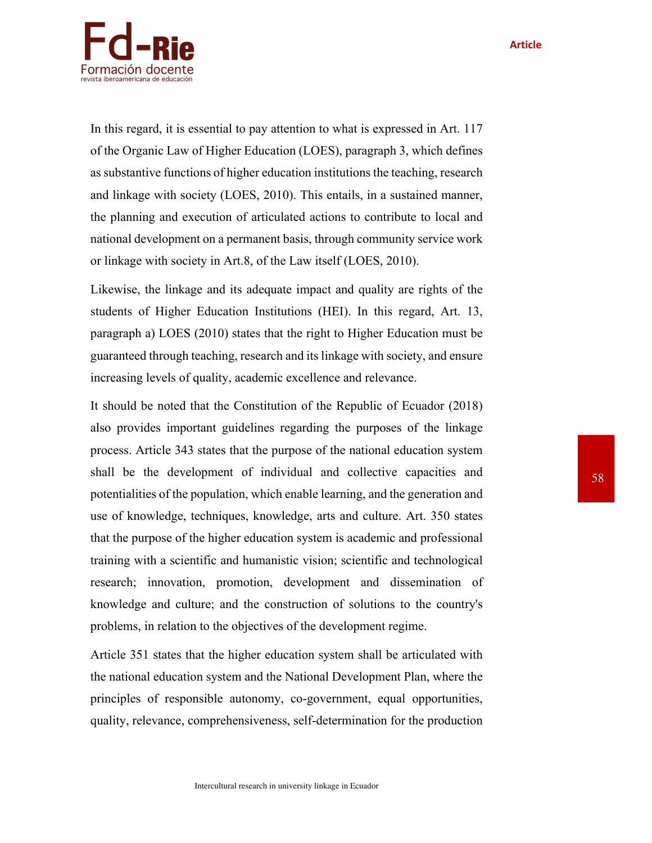**Article**



In this regard, it is essential to pay attention to what is expressed in Art. 117 of the Organic Law of Higher Education (LOES), paragraph 3, which defines as substantive functions of higher education institutions the teaching, research and linkage with society (LOES, 2010). This entails, in a sustained manner, the planning and execution of articulated actions to contribute to local and national development on a permanent basis, through community service work or linkage with society in Art.8, of the Law itself (LOES, 2010).

Likewise, the linkage and its adequate impact and quality are rights of the students of Higher Education Institutions (HEI). In this regard, Art. 13, paragraph a) LOES (2010) states that the right to Higher Education must be guaranteed through teaching, research and its linkage with society, and ensure increasing levels of quality, academic excellence and relevance.

It should be noted that the Constitution of the Republic of Ecuador (2018) also provides important guidelines regarding the purposes of the linkage process. Article 343 states that the purpose of the national education system shall be the development of individual and collective capacities and potentialities of the population, which enable learning, and the generation and use of knowledge, techniques, knowledge, arts and culture. Art. 350 states that the purpose of the higher education system is academic and professional training with a scientific and humanistic vision; scientific and technological research; innovation, promotion, development and dissemination of knowledge and culture; and the construction of solutions to the country's problems, in relation to the objectives of the development regime.

Article 351 states that the higher education system shall be articulated with the national education system and the National Development Plan, where the principles of responsible autonomy, co-government, equal opportunities, quality, relevance, comprehensiveness, self-determination for the production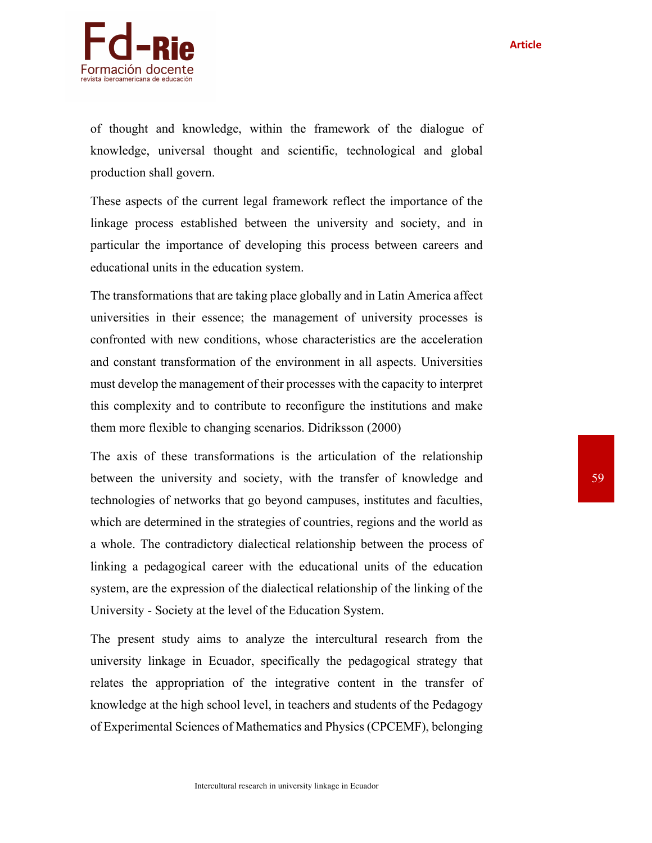

of thought and knowledge, within the framework of the dialogue of knowledge, universal thought and scientific, technological and global production shall govern.

These aspects of the current legal framework reflect the importance of the linkage process established between the university and society, and in particular the importance of developing this process between careers and educational units in the education system.

The transformations that are taking place globally and in Latin America affect universities in their essence; the management of university processes is confronted with new conditions, whose characteristics are the acceleration and constant transformation of the environment in all aspects. Universities must develop the management of their processes with the capacity to interpret this complexity and to contribute to reconfigure the institutions and make them more flexible to changing scenarios. Didriksson (2000)

The axis of these transformations is the articulation of the relationship between the university and society, with the transfer of knowledge and technologies of networks that go beyond campuses, institutes and faculties, which are determined in the strategies of countries, regions and the world as a whole. The contradictory dialectical relationship between the process of linking a pedagogical career with the educational units of the education system, are the expression of the dialectical relationship of the linking of the University - Society at the level of the Education System.

The present study aims to analyze the intercultural research from the university linkage in Ecuador, specifically the pedagogical strategy that relates the appropriation of the integrative content in the transfer of knowledge at the high school level, in teachers and students of the Pedagogy of Experimental Sciences of Mathematics and Physics (CPCEMF), belonging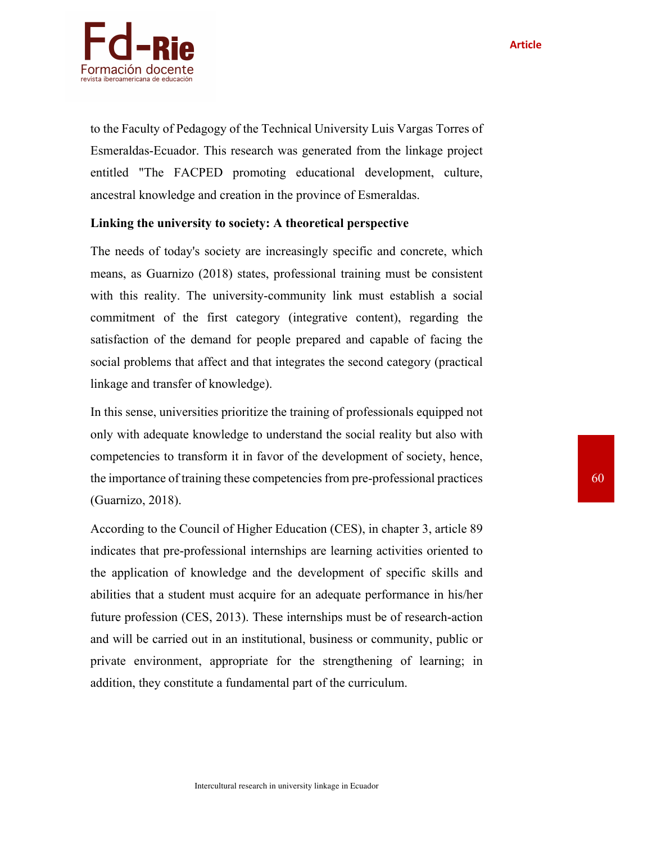

to the Faculty of Pedagogy of the Technical University Luis Vargas Torres of Esmeraldas-Ecuador. This research was generated from the linkage project entitled "The FACPED promoting educational development, culture, ancestral knowledge and creation in the province of Esmeraldas.

## **Linking the university to society: A theoretical perspective**

The needs of today's society are increasingly specific and concrete, which means, as Guarnizo (2018) states, professional training must be consistent with this reality. The university-community link must establish a social commitment of the first category (integrative content), regarding the satisfaction of the demand for people prepared and capable of facing the social problems that affect and that integrates the second category (practical linkage and transfer of knowledge).

In this sense, universities prioritize the training of professionals equipped not only with adequate knowledge to understand the social reality but also with competencies to transform it in favor of the development of society, hence, the importance of training these competencies from pre-professional practices (Guarnizo, 2018).

According to the Council of Higher Education (CES), in chapter 3, article 89 indicates that pre-professional internships are learning activities oriented to the application of knowledge and the development of specific skills and abilities that a student must acquire for an adequate performance in his/her future profession (CES, 2013). These internships must be of research-action and will be carried out in an institutional, business or community, public or private environment, appropriate for the strengthening of learning; in addition, they constitute a fundamental part of the curriculum.

**Article**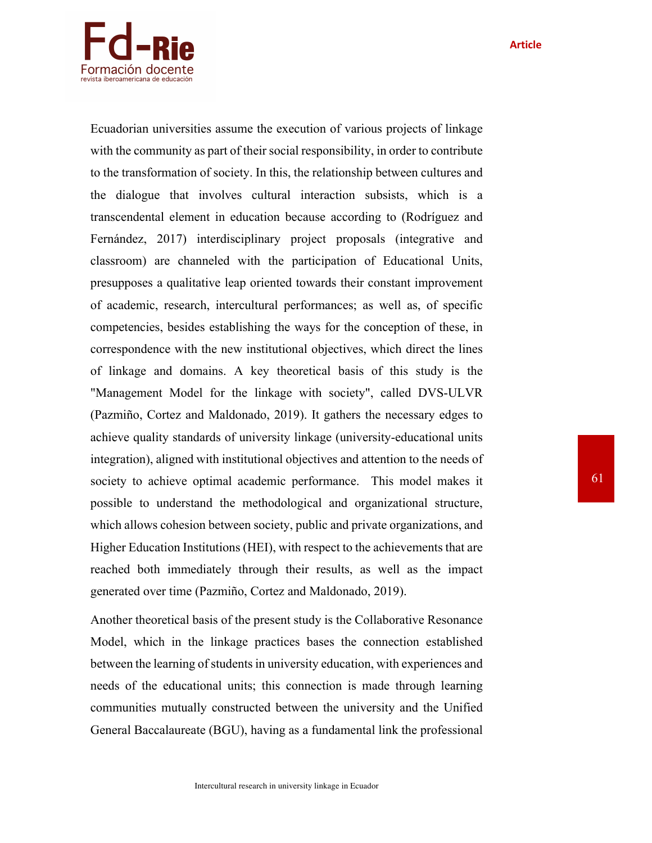**Article**



Ecuadorian universities assume the execution of various projects of linkage with the community as part of their social responsibility, in order to contribute to the transformation of society. In this, the relationship between cultures and the dialogue that involves cultural interaction subsists, which is a transcendental element in education because according to (Rodríguez and Fernández, 2017) interdisciplinary project proposals (integrative and classroom) are channeled with the participation of Educational Units, presupposes a qualitative leap oriented towards their constant improvement of academic, research, intercultural performances; as well as, of specific competencies, besides establishing the ways for the conception of these, in correspondence with the new institutional objectives, which direct the lines of linkage and domains. A key theoretical basis of this study is the "Management Model for the linkage with society", called DVS-ULVR (Pazmiño, Cortez and Maldonado, 2019). It gathers the necessary edges to achieve quality standards of university linkage (university-educational units integration), aligned with institutional objectives and attention to the needs of society to achieve optimal academic performance. This model makes it possible to understand the methodological and organizational structure, which allows cohesion between society, public and private organizations, and Higher Education Institutions (HEI), with respect to the achievements that are reached both immediately through their results, as well as the impact generated over time (Pazmiño, Cortez and Maldonado, 2019).

Another theoretical basis of the present study is the Collaborative Resonance Model, which in the linkage practices bases the connection established between the learning of students in university education, with experiences and needs of the educational units; this connection is made through learning communities mutually constructed between the university and the Unified General Baccalaureate (BGU), having as a fundamental link the professional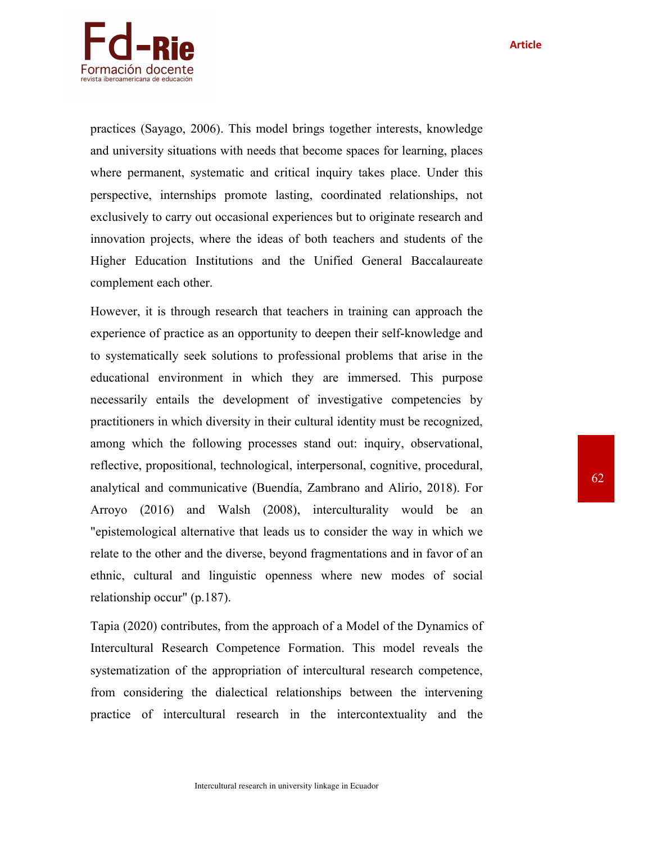

practices (Sayago, 2006). This model brings together interests, knowledge and university situations with needs that become spaces for learning, places where permanent, systematic and critical inquiry takes place. Under this perspective, internships promote lasting, coordinated relationships, not exclusively to carry out occasional experiences but to originate research and innovation projects, where the ideas of both teachers and students of the Higher Education Institutions and the Unified General Baccalaureate complement each other.

However, it is through research that teachers in training can approach the experience of practice as an opportunity to deepen their self-knowledge and to systematically seek solutions to professional problems that arise in the educational environment in which they are immersed. This purpose necessarily entails the development of investigative competencies by practitioners in which diversity in their cultural identity must be recognized, among which the following processes stand out: inquiry, observational, reflective, propositional, technological, interpersonal, cognitive, procedural, analytical and communicative (Buendía, Zambrano and Alirio, 2018). For Arroyo (2016) and Walsh (2008), interculturality would be an "epistemological alternative that leads us to consider the way in which we relate to the other and the diverse, beyond fragmentations and in favor of an ethnic, cultural and linguistic openness where new modes of social relationship occur" (p.187).

Tapia (2020) contributes, from the approach of a Model of the Dynamics of Intercultural Research Competence Formation. This model reveals the systematization of the appropriation of intercultural research competence, from considering the dialectical relationships between the intervening practice of intercultural research in the intercontextuality and the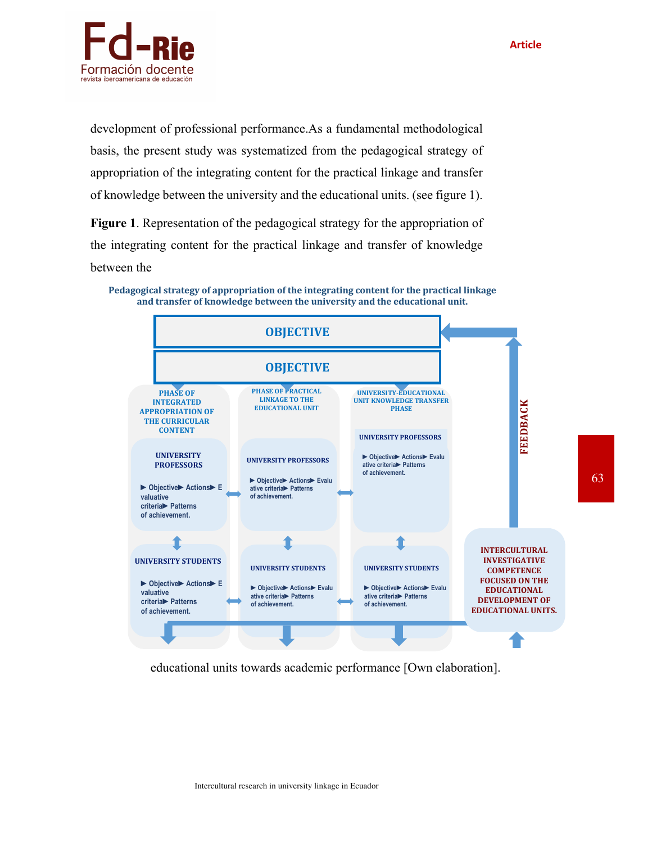

development of professional performance.As a fundamental methodological basis, the present study was systematized from the pedagogical strategy of appropriation of the integrating content for the practical linkage and transfer of knowledge between the university and the educational units. (see figure 1).

**Figure 1**. Representation of the pedagogical strategy for the appropriation of the integrating content for the practical linkage and transfer of knowledge between the



Pedagogical strategy of appropriation of the integrating content for the practical linkage and transfer of knowledge between the university and the educational unit.

educational units towards academic performance [Own elaboration].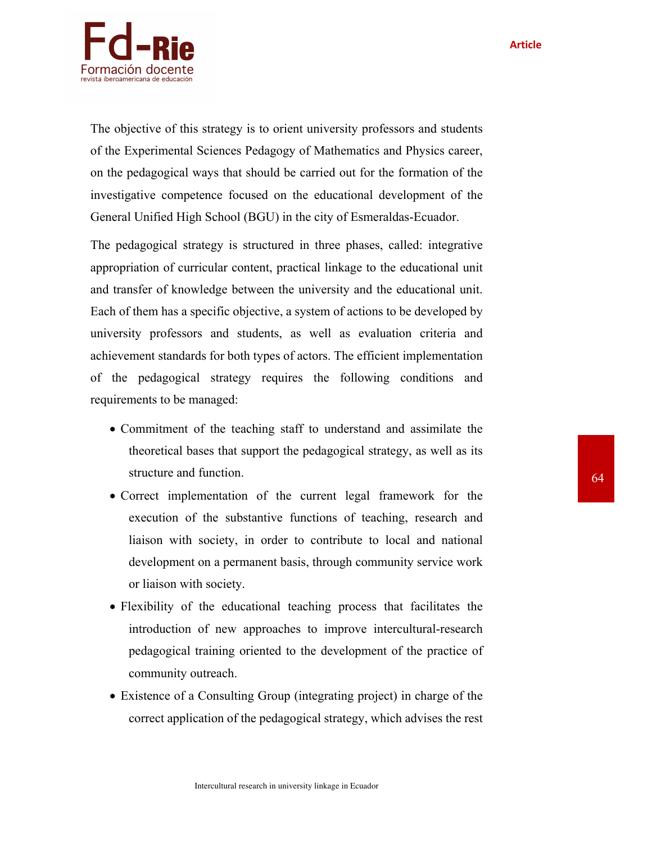

The objective of this strategy is to orient university professors and students of the Experimental Sciences Pedagogy of Mathematics and Physics career, on the pedagogical ways that should be carried out for the formation of the investigative competence focused on the educational development of the General Unified High School (BGU) in the city of Esmeraldas-Ecuador.

The pedagogical strategy is structured in three phases, called: integrative appropriation of curricular content, practical linkage to the educational unit and transfer of knowledge between the university and the educational unit. Each of them has a specific objective, a system of actions to be developed by university professors and students, as well as evaluation criteria and achievement standards for both types of actors. The efficient implementation of the pedagogical strategy requires the following conditions and requirements to be managed:

- Commitment of the teaching staff to understand and assimilate the theoretical bases that support the pedagogical strategy, as well as its structure and function.
- Correct implementation of the current legal framework for the execution of the substantive functions of teaching, research and liaison with society, in order to contribute to local and national development on a permanent basis, through community service work or liaison with society.
- Flexibility of the educational teaching process that facilitates the introduction of new approaches to improve intercultural-research pedagogical training oriented to the development of the practice of community outreach.
- Existence of a Consulting Group (integrating project) in charge of the correct application of the pedagogical strategy, which advises the rest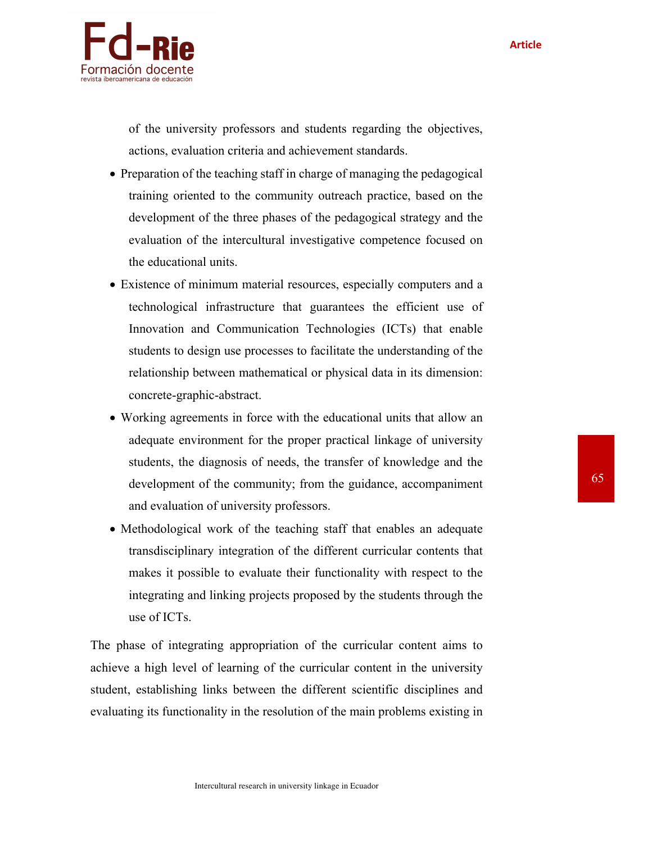

of the university professors and students regarding the objectives, actions, evaluation criteria and achievement standards.

- Preparation of the teaching staff in charge of managing the pedagogical training oriented to the community outreach practice, based on the development of the three phases of the pedagogical strategy and the evaluation of the intercultural investigative competence focused on the educational units.
- Existence of minimum material resources, especially computers and a technological infrastructure that guarantees the efficient use of Innovation and Communication Technologies (ICTs) that enable students to design use processes to facilitate the understanding of the relationship between mathematical or physical data in its dimension: concrete-graphic-abstract.
- Working agreements in force with the educational units that allow an adequate environment for the proper practical linkage of university students, the diagnosis of needs, the transfer of knowledge and the development of the community; from the guidance, accompaniment and evaluation of university professors.
- Methodological work of the teaching staff that enables an adequate transdisciplinary integration of the different curricular contents that makes it possible to evaluate their functionality with respect to the integrating and linking projects proposed by the students through the use of ICTs.

The phase of integrating appropriation of the curricular content aims to achieve a high level of learning of the curricular content in the university student, establishing links between the different scientific disciplines and evaluating its functionality in the resolution of the main problems existing in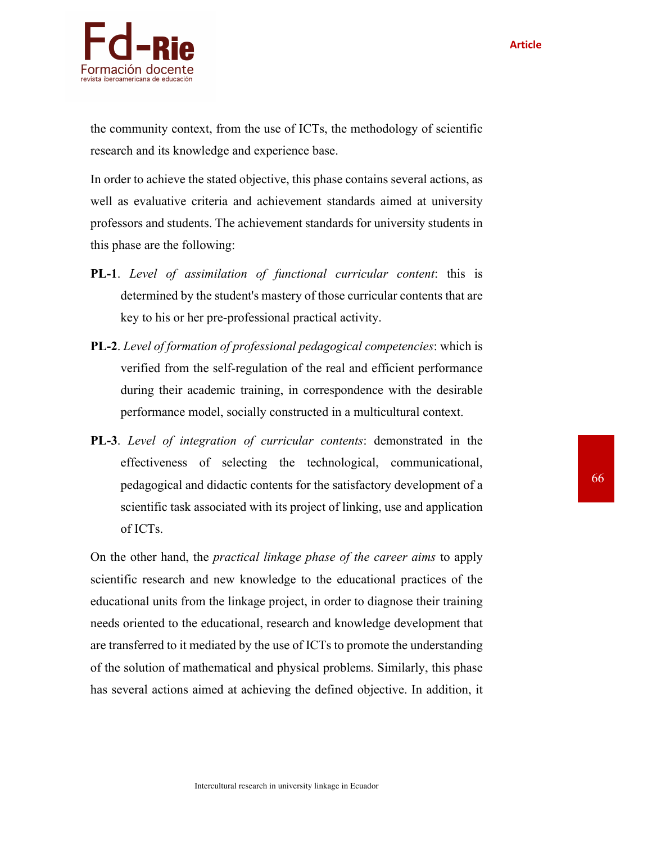

the community context, from the use of ICTs, the methodology of scientific research and its knowledge and experience base.

In order to achieve the stated objective, this phase contains several actions, as well as evaluative criteria and achievement standards aimed at university professors and students. The achievement standards for university students in this phase are the following:

- **PL-1**. *Level of assimilation of functional curricular content*: this is determined by the student's mastery of those curricular contents that are key to his or her pre-professional practical activity.
- **PL-2**. *Level of formation of professional pedagogical competencies*: which is verified from the self-regulation of the real and efficient performance during their academic training, in correspondence with the desirable performance model, socially constructed in a multicultural context.
- **PL-3**. *Level of integration of curricular contents*: demonstrated in the effectiveness of selecting the technological, communicational, pedagogical and didactic contents for the satisfactory development of a scientific task associated with its project of linking, use and application of ICTs.

On the other hand, the *practical linkage phase of the career aims* to apply scientific research and new knowledge to the educational practices of the educational units from the linkage project, in order to diagnose their training needs oriented to the educational, research and knowledge development that are transferred to it mediated by the use of ICTs to promote the understanding of the solution of mathematical and physical problems. Similarly, this phase has several actions aimed at achieving the defined objective. In addition, it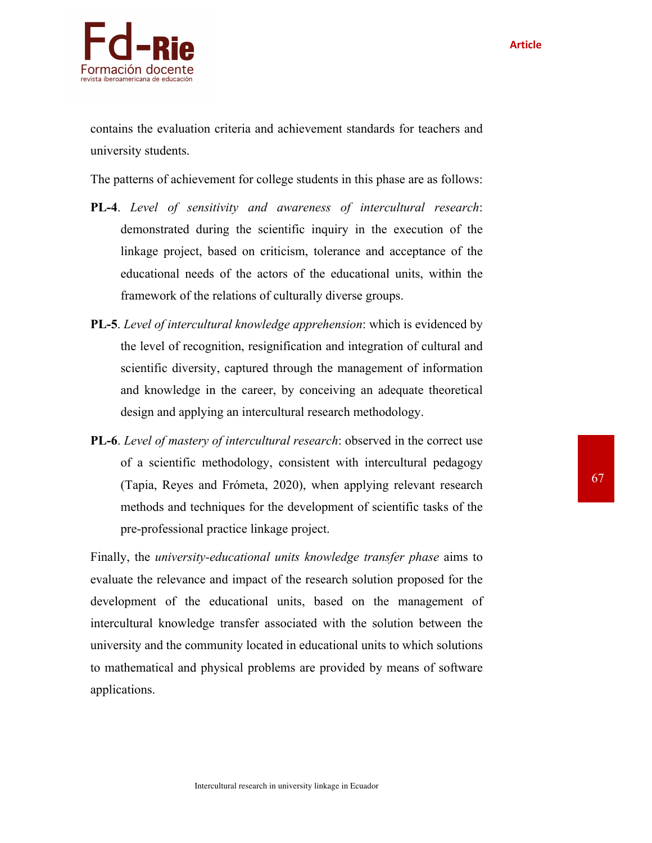

contains the evaluation criteria and achievement standards for teachers and university students.

The patterns of achievement for college students in this phase are as follows:

- **PL-4**. *Level of sensitivity and awareness of intercultural research*: demonstrated during the scientific inquiry in the execution of the linkage project, based on criticism, tolerance and acceptance of the educational needs of the actors of the educational units, within the framework of the relations of culturally diverse groups.
- **PL-5**. *Level of intercultural knowledge apprehension*: which is evidenced by the level of recognition, resignification and integration of cultural and scientific diversity, captured through the management of information and knowledge in the career, by conceiving an adequate theoretical design and applying an intercultural research methodology.
- **PL-6**. *Level of mastery of intercultural research*: observed in the correct use of a scientific methodology, consistent with intercultural pedagogy (Tapia, Reyes and Frómeta, 2020), when applying relevant research methods and techniques for the development of scientific tasks of the pre-professional practice linkage project.

Finally, the *university-educational units knowledge transfer phase* aims to evaluate the relevance and impact of the research solution proposed for the development of the educational units, based on the management of intercultural knowledge transfer associated with the solution between the university and the community located in educational units to which solutions to mathematical and physical problems are provided by means of software applications.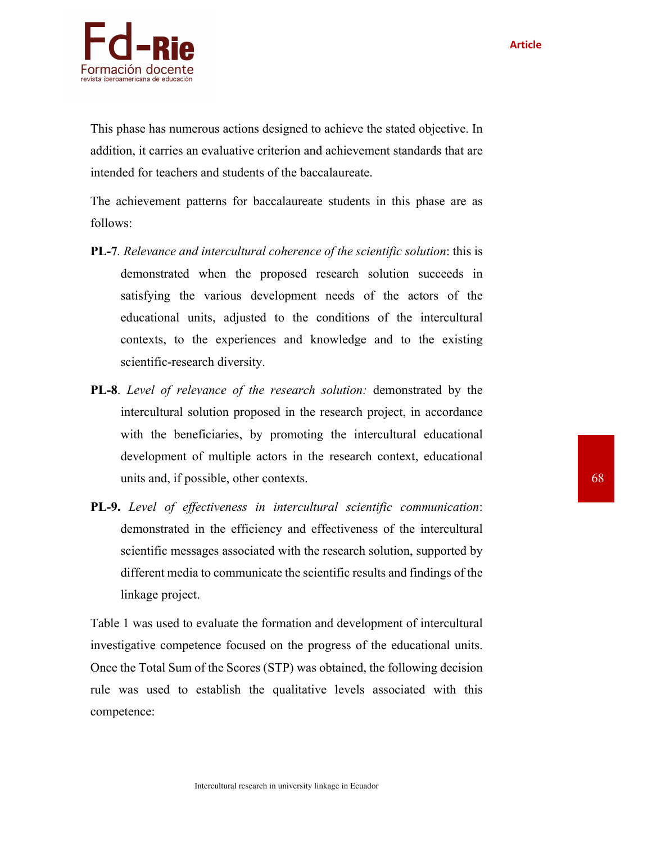

This phase has numerous actions designed to achieve the stated objective. In addition, it carries an evaluative criterion and achievement standards that are intended for teachers and students of the baccalaureate.

The achievement patterns for baccalaureate students in this phase are as follows:

- **PL-7***. Relevance and intercultural coherence of the scientific solution*: this is demonstrated when the proposed research solution succeeds in satisfying the various development needs of the actors of the educational units, adjusted to the conditions of the intercultural contexts, to the experiences and knowledge and to the existing scientific-research diversity.
- **PL-8**. *Level of relevance of the research solution:* demonstrated by the intercultural solution proposed in the research project, in accordance with the beneficiaries, by promoting the intercultural educational development of multiple actors in the research context, educational units and, if possible, other contexts.
- **PL-9.** *Level of effectiveness in intercultural scientific communication*: demonstrated in the efficiency and effectiveness of the intercultural scientific messages associated with the research solution, supported by different media to communicate the scientific results and findings of the linkage project.

Table 1 was used to evaluate the formation and development of intercultural investigative competence focused on the progress of the educational units. Once the Total Sum of the Scores (STP) was obtained, the following decision rule was used to establish the qualitative levels associated with this competence: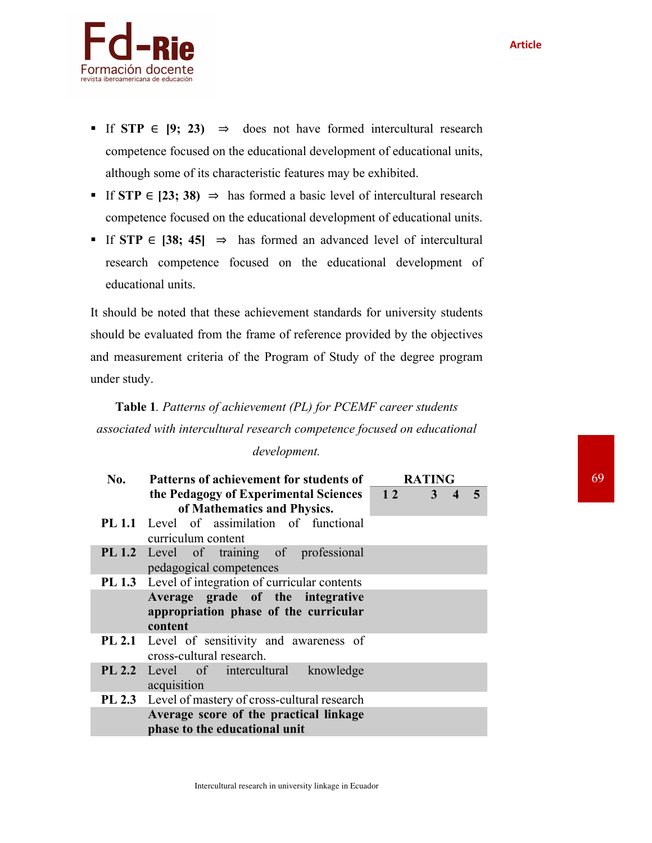

- § If **STP** ∈ **[9; 23)** ⇒ does not have formed intercultural research competence focused on the educational development of educational units, although some of its characteristic features may be exhibited.
- § If **STP** ∈ **[23; 38)** ⇒ has formed a basic level of intercultural research competence focused on the educational development of educational units.
- § If **STP** ∈ **[38; 45]** ⇒ has formed an advanced level of intercultural research competence focused on the educational development of educational units.

It should be noted that these achievement standards for university students should be evaluated from the frame of reference provided by the objectives and measurement criteria of the Program of Study of the degree program under study.

# **Table 1***. Patterns of achievement (PL) for PCEMF career students associated with intercultural research competence focused on educational*

## *development.*

| No. | Patterns of achievement for students of                                              | <b>RATING</b> |                         |  |
|-----|--------------------------------------------------------------------------------------|---------------|-------------------------|--|
|     | the Pedagogy of Experimental Sciences 12 3<br>of Mathematics and Physics.            |               | $\overline{\mathbf{4}}$ |  |
|     | <b>PL 1.1</b> Level of assimilation of functional<br>curriculum content              |               |                         |  |
|     | PL 1.2 Level of training of professional<br>pedagogical competences                  |               |                         |  |
|     | <b>PL 1.3</b> Level of integration of curricular contents                            |               |                         |  |
|     | Average grade of the integrative<br>appropriation phase of the curricular<br>content |               |                         |  |
|     | <b>PL 2.1</b> Level of sensitivity and awareness of<br>cross-cultural research.      |               |                         |  |
|     | <b>PL 2.2</b> Level of intercultural knowledge<br>acquisition                        |               |                         |  |
|     | PL 2.3 Level of mastery of cross-cultural research                                   |               |                         |  |
|     | Average score of the practical linkage<br>phase to the educational unit              |               |                         |  |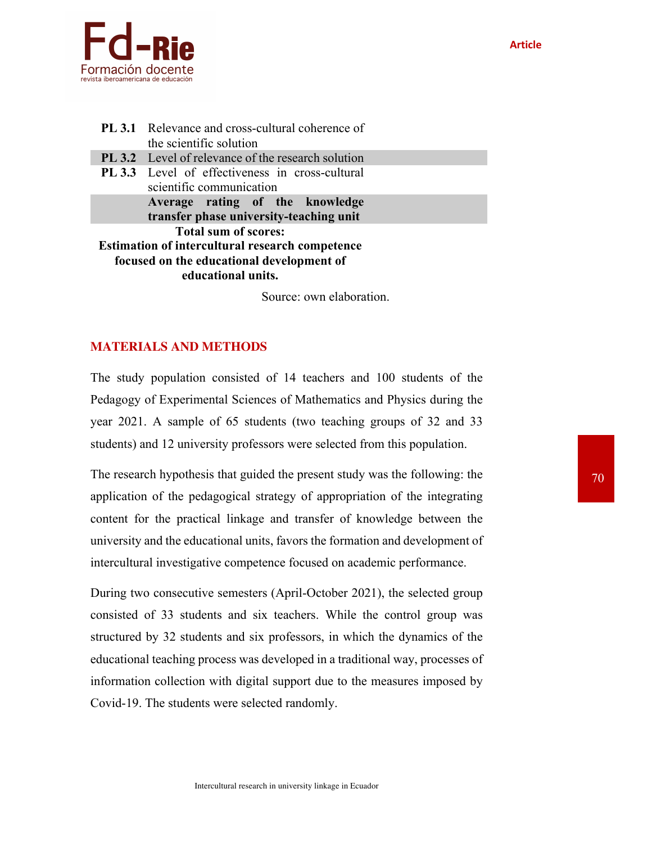



|                                                                                                                                                          | <b>PL 3.1</b> Relevance and cross-cultural coherence of<br>the scientific solution |  |
|----------------------------------------------------------------------------------------------------------------------------------------------------------|------------------------------------------------------------------------------------|--|
|                                                                                                                                                          | <b>PL 3.2</b> Level of relevance of the research solution                          |  |
|                                                                                                                                                          | <b>PL 3.3</b> Level of effectiveness in cross-cultural<br>scientific communication |  |
|                                                                                                                                                          | Average rating of the knowledge<br>transfer phase university-teaching unit         |  |
| <b>Total sum of scores:</b><br><b>Estimation of intercultural research competence</b><br>focused on the educational development of<br>educational units. |                                                                                    |  |

Source: own elaboration.

## **MATERIALS AND METHODS**

The study population consisted of 14 teachers and 100 students of the Pedagogy of Experimental Sciences of Mathematics and Physics during the year 2021. A sample of 65 students (two teaching groups of 32 and 33 students) and 12 university professors were selected from this population.

The research hypothesis that guided the present study was the following: the application of the pedagogical strategy of appropriation of the integrating content for the practical linkage and transfer of knowledge between the university and the educational units, favors the formation and development of intercultural investigative competence focused on academic performance.

During two consecutive semesters (April-October 2021), the selected group consisted of 33 students and six teachers. While the control group was structured by 32 students and six professors, in which the dynamics of the educational teaching process was developed in a traditional way, processes of information collection with digital support due to the measures imposed by Covid-19. The students were selected randomly.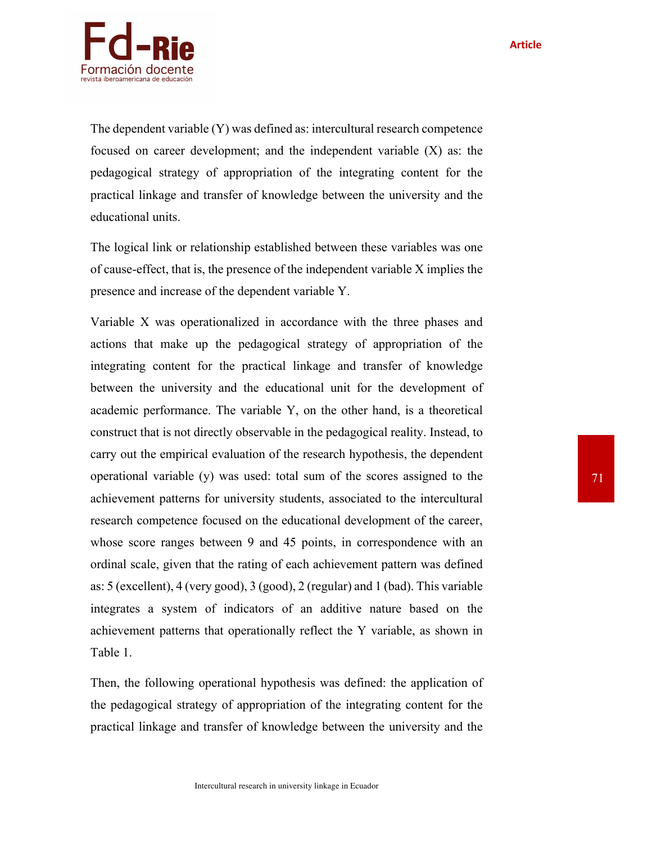

The dependent variable (Y) was defined as: intercultural research competence focused on career development; and the independent variable (X) as: the pedagogical strategy of appropriation of the integrating content for the practical linkage and transfer of knowledge between the university and the educational units.

The logical link or relationship established between these variables was one of cause-effect, that is, the presence of the independent variable X implies the presence and increase of the dependent variable Y.

Variable X was operationalized in accordance with the three phases and actions that make up the pedagogical strategy of appropriation of the integrating content for the practical linkage and transfer of knowledge between the university and the educational unit for the development of academic performance. The variable Y, on the other hand, is a theoretical construct that is not directly observable in the pedagogical reality. Instead, to carry out the empirical evaluation of the research hypothesis, the dependent operational variable (y) was used: total sum of the scores assigned to the achievement patterns for university students, associated to the intercultural research competence focused on the educational development of the career, whose score ranges between 9 and 45 points, in correspondence with an ordinal scale, given that the rating of each achievement pattern was defined as: 5 (excellent), 4 (very good), 3 (good), 2 (regular) and 1 (bad). This variable integrates a system of indicators of an additive nature based on the achievement patterns that operationally reflect the Y variable, as shown in Table 1.

Then, the following operational hypothesis was defined: the application of the pedagogical strategy of appropriation of the integrating content for the practical linkage and transfer of knowledge between the university and the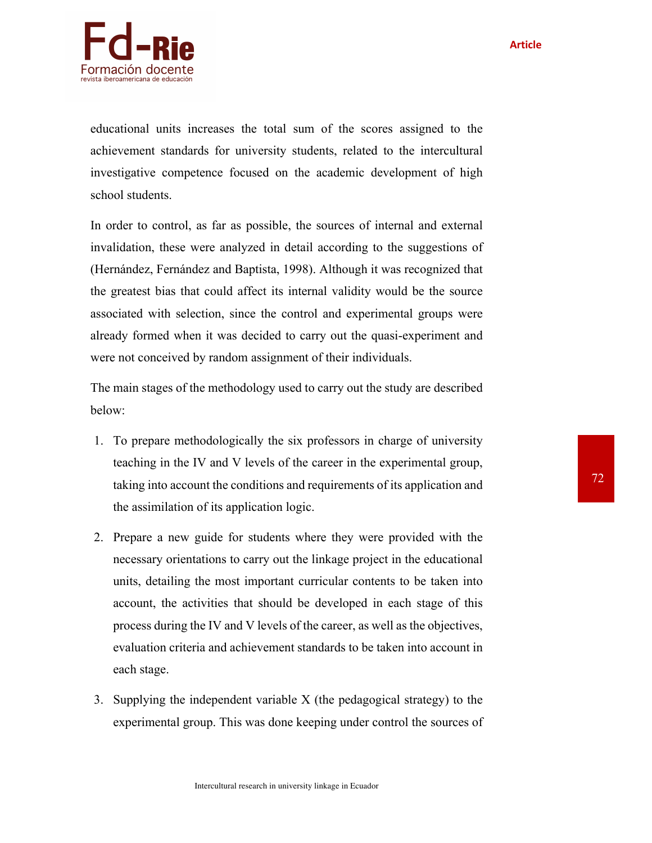

educational units increases the total sum of the scores assigned to the achievement standards for university students, related to the intercultural investigative competence focused on the academic development of high school students.

In order to control, as far as possible, the sources of internal and external invalidation, these were analyzed in detail according to the suggestions of (Hernández, Fernández and Baptista, 1998). Although it was recognized that the greatest bias that could affect its internal validity would be the source associated with selection, since the control and experimental groups were already formed when it was decided to carry out the quasi-experiment and were not conceived by random assignment of their individuals.

The main stages of the methodology used to carry out the study are described below:

- 1. To prepare methodologically the six professors in charge of university teaching in the IV and V levels of the career in the experimental group, taking into account the conditions and requirements of its application and the assimilation of its application logic.
- 2. Prepare a new guide for students where they were provided with the necessary orientations to carry out the linkage project in the educational units, detailing the most important curricular contents to be taken into account, the activities that should be developed in each stage of this process during the IV and V levels of the career, as well as the objectives, evaluation criteria and achievement standards to be taken into account in each stage.
- 3. Supplying the independent variable X (the pedagogical strategy) to the experimental group. This was done keeping under control the sources of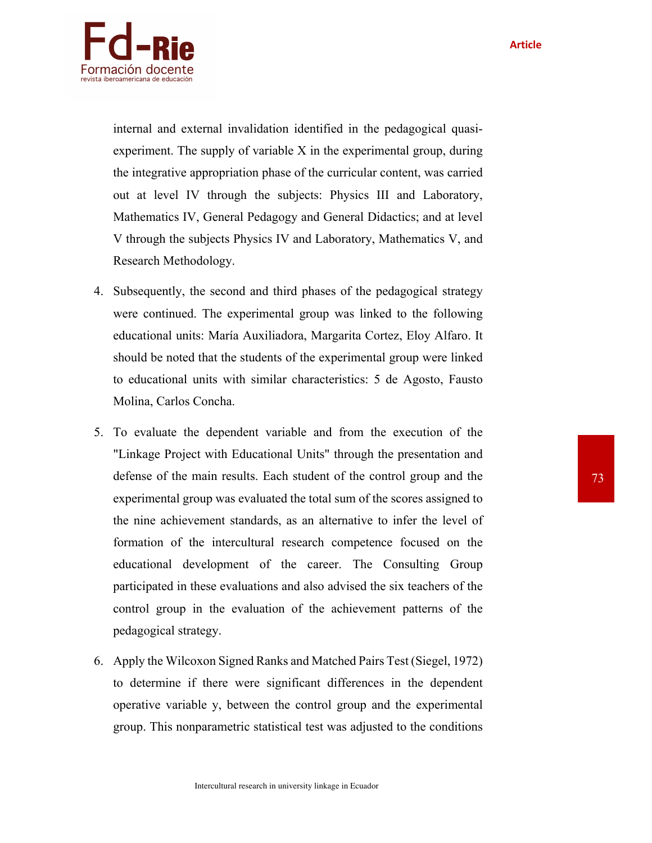

internal and external invalidation identified in the pedagogical quasiexperiment. The supply of variable X in the experimental group, during the integrative appropriation phase of the curricular content, was carried out at level IV through the subjects: Physics III and Laboratory, Mathematics IV, General Pedagogy and General Didactics; and at level V through the subjects Physics IV and Laboratory, Mathematics V, and Research Methodology.

- 4. Subsequently, the second and third phases of the pedagogical strategy were continued. The experimental group was linked to the following educational units: María Auxiliadora, Margarita Cortez, Eloy Alfaro. It should be noted that the students of the experimental group were linked to educational units with similar characteristics: 5 de Agosto, Fausto Molina, Carlos Concha.
- 5. To evaluate the dependent variable and from the execution of the "Linkage Project with Educational Units" through the presentation and defense of the main results. Each student of the control group and the experimental group was evaluated the total sum of the scores assigned to the nine achievement standards, as an alternative to infer the level of formation of the intercultural research competence focused on the educational development of the career. The Consulting Group participated in these evaluations and also advised the six teachers of the control group in the evaluation of the achievement patterns of the pedagogical strategy.
- 6. Apply the Wilcoxon Signed Ranks and Matched Pairs Test (Siegel, 1972) to determine if there were significant differences in the dependent operative variable y, between the control group and the experimental group. This nonparametric statistical test was adjusted to the conditions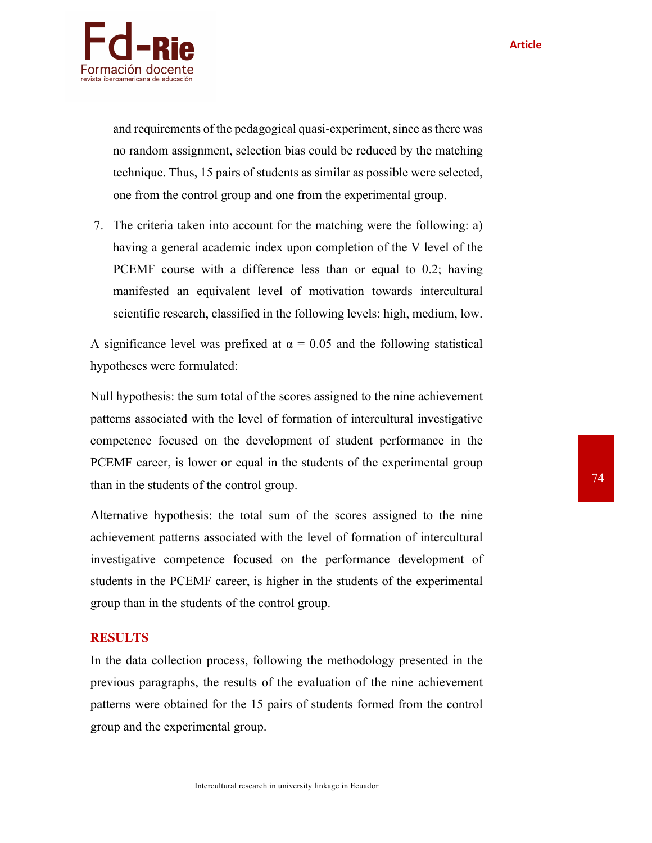

and requirements of the pedagogical quasi-experiment, since as there was no random assignment, selection bias could be reduced by the matching technique. Thus, 15 pairs of students as similar as possible were selected, one from the control group and one from the experimental group.

7. The criteria taken into account for the matching were the following: a) having a general academic index upon completion of the V level of the PCEMF course with a difference less than or equal to 0.2; having manifested an equivalent level of motivation towards intercultural scientific research, classified in the following levels: high, medium, low.

A significance level was prefixed at  $\alpha = 0.05$  and the following statistical hypotheses were formulated:

Null hypothesis: the sum total of the scores assigned to the nine achievement patterns associated with the level of formation of intercultural investigative competence focused on the development of student performance in the PCEMF career, is lower or equal in the students of the experimental group than in the students of the control group.

Alternative hypothesis: the total sum of the scores assigned to the nine achievement patterns associated with the level of formation of intercultural investigative competence focused on the performance development of students in the PCEMF career, is higher in the students of the experimental group than in the students of the control group.

## **RESULTS**

In the data collection process, following the methodology presented in the previous paragraphs, the results of the evaluation of the nine achievement patterns were obtained for the 15 pairs of students formed from the control group and the experimental group.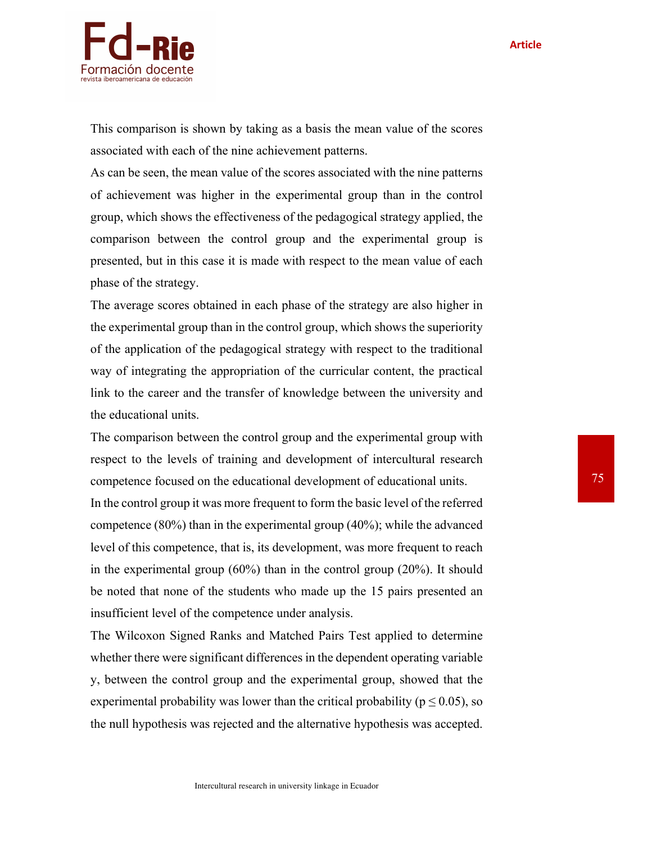

This comparison is shown by taking as a basis the mean value of the scores associated with each of the nine achievement patterns.

As can be seen, the mean value of the scores associated with the nine patterns of achievement was higher in the experimental group than in the control group, which shows the effectiveness of the pedagogical strategy applied, the comparison between the control group and the experimental group is presented, but in this case it is made with respect to the mean value of each phase of the strategy.

The average scores obtained in each phase of the strategy are also higher in the experimental group than in the control group, which shows the superiority of the application of the pedagogical strategy with respect to the traditional way of integrating the appropriation of the curricular content, the practical link to the career and the transfer of knowledge between the university and the educational units.

The comparison between the control group and the experimental group with respect to the levels of training and development of intercultural research competence focused on the educational development of educational units.

In the control group it was more frequent to form the basic level of the referred competence (80%) than in the experimental group (40%); while the advanced level of this competence, that is, its development, was more frequent to reach in the experimental group (60%) than in the control group (20%). It should be noted that none of the students who made up the 15 pairs presented an insufficient level of the competence under analysis.

The Wilcoxon Signed Ranks and Matched Pairs Test applied to determine whether there were significant differences in the dependent operating variable y, between the control group and the experimental group, showed that the experimental probability was lower than the critical probability ( $p \le 0.05$ ), so the null hypothesis was rejected and the alternative hypothesis was accepted.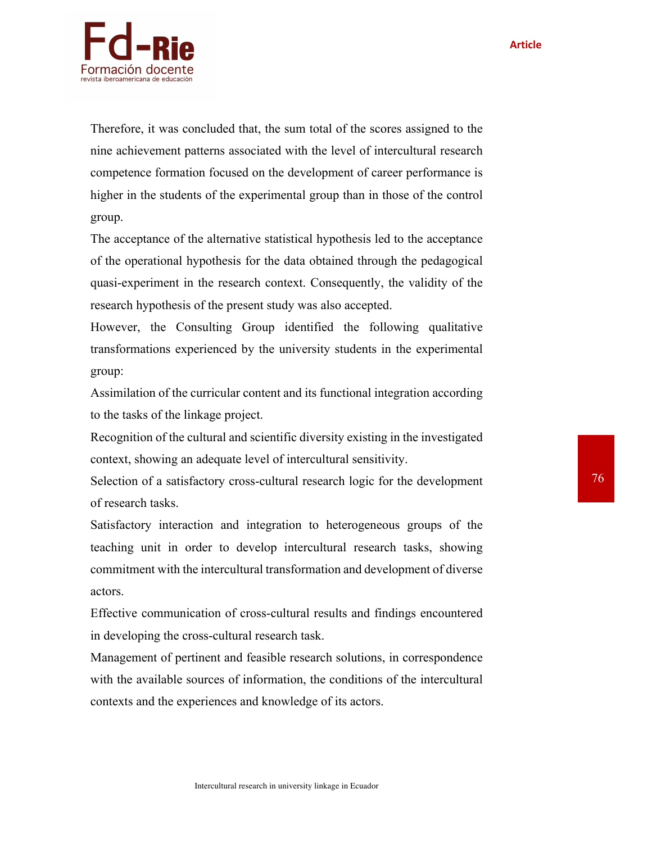**Article**



Therefore, it was concluded that, the sum total of the scores assigned to the nine achievement patterns associated with the level of intercultural research competence formation focused on the development of career performance is higher in the students of the experimental group than in those of the control group.

The acceptance of the alternative statistical hypothesis led to the acceptance of the operational hypothesis for the data obtained through the pedagogical quasi-experiment in the research context. Consequently, the validity of the research hypothesis of the present study was also accepted.

However, the Consulting Group identified the following qualitative transformations experienced by the university students in the experimental group:

Assimilation of the curricular content and its functional integration according to the tasks of the linkage project.

Recognition of the cultural and scientific diversity existing in the investigated context, showing an adequate level of intercultural sensitivity.

Selection of a satisfactory cross-cultural research logic for the development of research tasks.

Satisfactory interaction and integration to heterogeneous groups of the teaching unit in order to develop intercultural research tasks, showing commitment with the intercultural transformation and development of diverse actors.

Effective communication of cross-cultural results and findings encountered in developing the cross-cultural research task.

Management of pertinent and feasible research solutions, in correspondence with the available sources of information, the conditions of the intercultural contexts and the experiences and knowledge of its actors.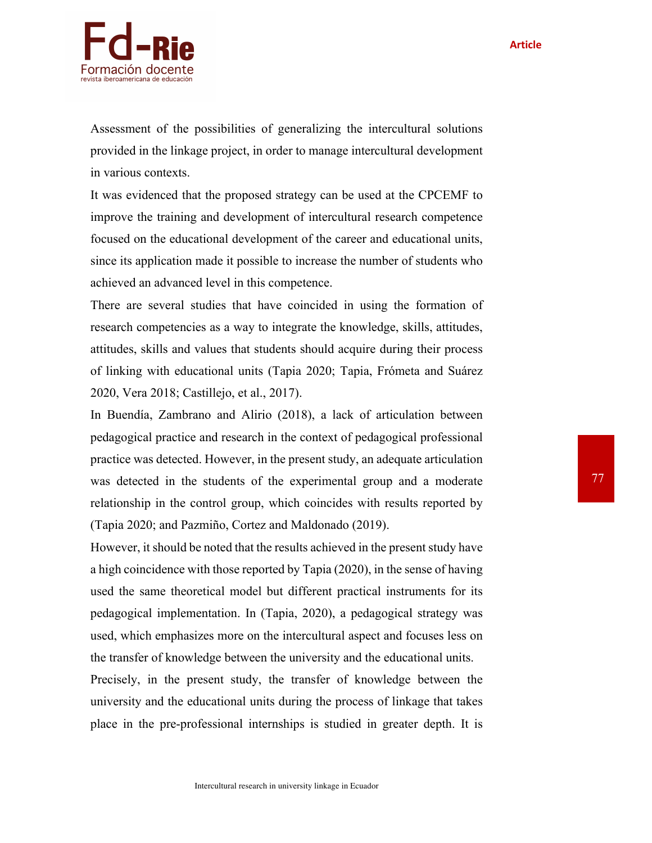

Assessment of the possibilities of generalizing the intercultural solutions provided in the linkage project, in order to manage intercultural development in various contexts.

It was evidenced that the proposed strategy can be used at the CPCEMF to improve the training and development of intercultural research competence focused on the educational development of the career and educational units, since its application made it possible to increase the number of students who achieved an advanced level in this competence.

There are several studies that have coincided in using the formation of research competencies as a way to integrate the knowledge, skills, attitudes, attitudes, skills and values that students should acquire during their process of linking with educational units (Tapia 2020; Tapia, Frómeta and Suárez 2020, Vera 2018; Castillejo, et al., 2017).

In Buendía, Zambrano and Alirio (2018), a lack of articulation between pedagogical practice and research in the context of pedagogical professional practice was detected. However, in the present study, an adequate articulation was detected in the students of the experimental group and a moderate relationship in the control group, which coincides with results reported by (Tapia 2020; and Pazmiño, Cortez and Maldonado (2019).

However, it should be noted that the results achieved in the present study have a high coincidence with those reported by Tapia (2020), in the sense of having used the same theoretical model but different practical instruments for its pedagogical implementation. In (Tapia, 2020), a pedagogical strategy was used, which emphasizes more on the intercultural aspect and focuses less on the transfer of knowledge between the university and the educational units.

Precisely, in the present study, the transfer of knowledge between the university and the educational units during the process of linkage that takes place in the pre-professional internships is studied in greater depth. It is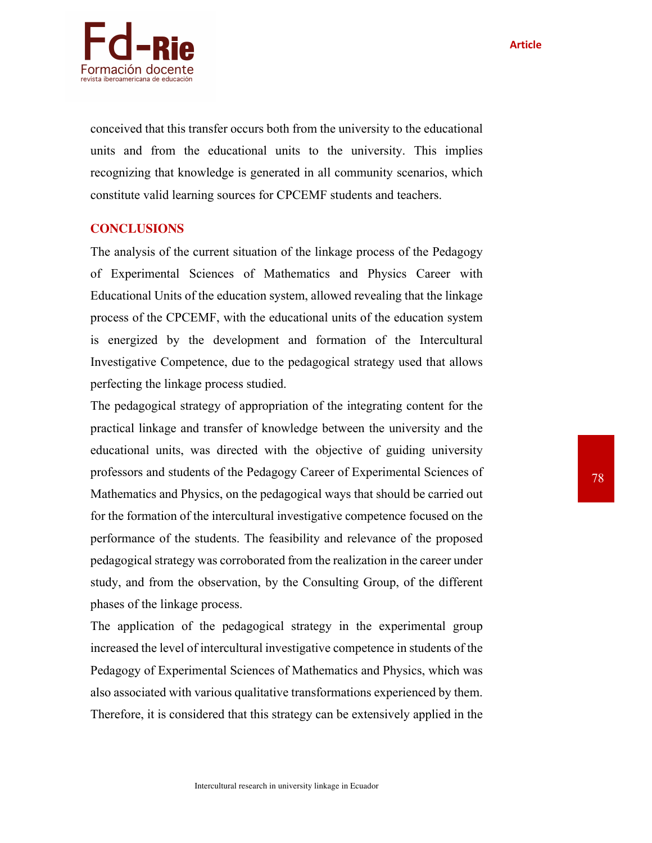

conceived that this transfer occurs both from the university to the educational units and from the educational units to the university. This implies recognizing that knowledge is generated in all community scenarios, which constitute valid learning sources for CPCEMF students and teachers.

## **CONCLUSIONS**

The analysis of the current situation of the linkage process of the Pedagogy of Experimental Sciences of Mathematics and Physics Career with Educational Units of the education system, allowed revealing that the linkage process of the CPCEMF, with the educational units of the education system is energized by the development and formation of the Intercultural Investigative Competence, due to the pedagogical strategy used that allows perfecting the linkage process studied.

The pedagogical strategy of appropriation of the integrating content for the practical linkage and transfer of knowledge between the university and the educational units, was directed with the objective of guiding university professors and students of the Pedagogy Career of Experimental Sciences of Mathematics and Physics, on the pedagogical ways that should be carried out for the formation of the intercultural investigative competence focused on the performance of the students. The feasibility and relevance of the proposed pedagogical strategy was corroborated from the realization in the career under study, and from the observation, by the Consulting Group, of the different phases of the linkage process.

The application of the pedagogical strategy in the experimental group increased the level of intercultural investigative competence in students of the Pedagogy of Experimental Sciences of Mathematics and Physics, which was also associated with various qualitative transformations experienced by them. Therefore, it is considered that this strategy can be extensively applied in the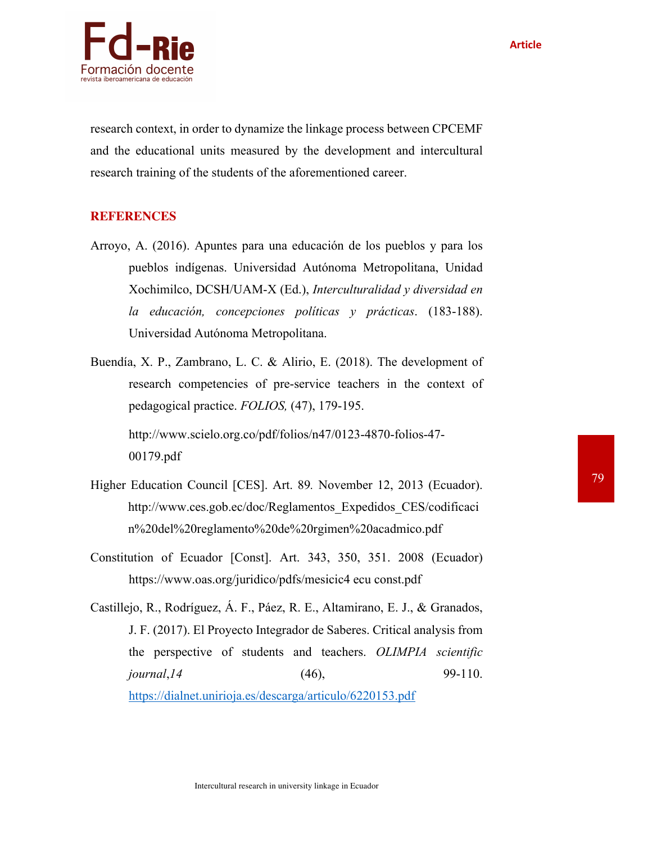



research context, in order to dynamize the linkage process between CPCEMF and the educational units measured by the development and intercultural research training of the students of the aforementioned career.

## **REFERENCES**

- Arroyo, A. (2016). Apuntes para una educación de los pueblos y para los pueblos indígenas. Universidad Autónoma Metropolitana, Unidad Xochimilco, DCSH/UAM-X (Ed.), *Interculturalidad y diversidad en la educación, concepciones políticas y prácticas*. (183-188). Universidad Autónoma Metropolitana.
- Buendía, X. P., Zambrano, L. C. & Alirio, E. (2018). The development of research competencies of pre-service teachers in the context of pedagogical practice. *FOLIOS,* (47), 179-195. http://www.scielo.org.co/pdf/folios/n47/0123-4870-folios-47- 00179.pdf
- Higher Education Council [CES]. Art. 89*.* November 12, 2013 (Ecuador). http://www.ces.gob.ec/doc/Reglamentos\_Expedidos\_CES/codificaci n%20del%20reglamento%20de%20rgimen%20acadmico.pdf
- Constitution of Ecuador [Const]. Art. 343, 350, 351. 2008 (Ecuador) https://www.oas.org/juridico/pdfs/mesicic4 ecu const.pdf
- Castillejo, R., Rodríguez, Á. F., Páez, R. E., Altamirano, E. J., & Granados, J. F. (2017). El Proyecto Integrador de Saberes. Critical analysis from the perspective of students and teachers. *OLIMPIA scientific journal*, 14 (46), 99-110. https://dialnet.unirioja.es/descarga/articulo/6220153.pdf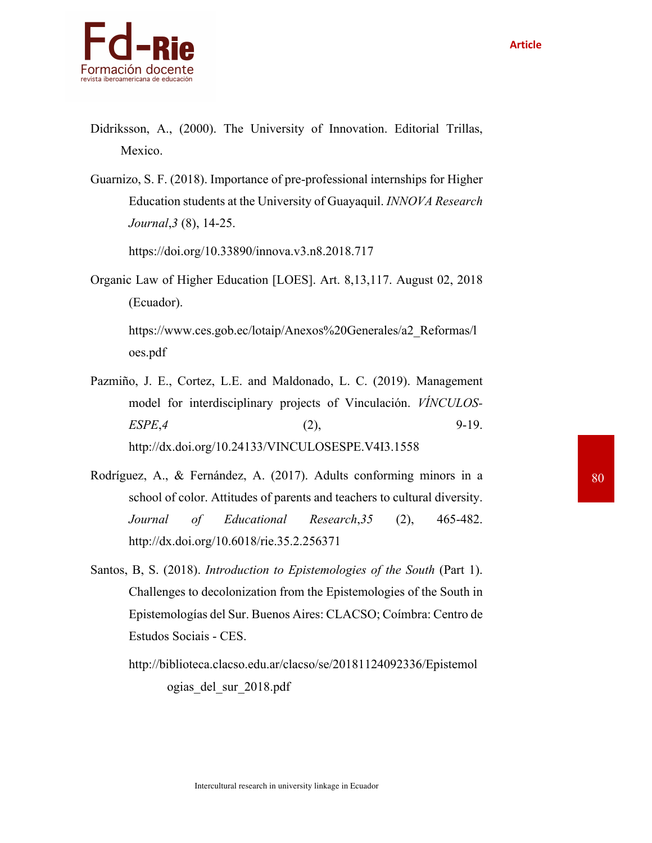

- Didriksson, A., (2000). The University of Innovation. Editorial Trillas, Mexico.
- Guarnizo, S. F. (2018). Importance of pre-professional internships for Higher Education students at the University of Guayaquil. *INNOVA Research Journal*,*3* (8), 14-25.

https://doi.org/10.33890/innova.v3.n8.2018.717

Organic Law of Higher Education [LOES]. Art. 8,13,117. August 02, 2018 (Ecuador).

https://www.ces.gob.ec/lotaip/Anexos%20Generales/a2\_Reformas/l oes.pdf

- Pazmiño, J. E., Cortez, L.E. and Maldonado, L. C. (2019). Management model for interdisciplinary projects of Vinculación. *VÍNCULOS-ESPE*,*4* (2), 9-19. http://dx.doi.org/10.24133/VINCULOSESPE.V4I3.1558
- Rodríguez, A., & Fernández, A. (2017). Adults conforming minors in a school of color. Attitudes of parents and teachers to cultural diversity. *Journal of Educational Research*,*35* (2), 465-482. http://dx.doi.org/10.6018/rie.35.2.256371
- Santos, B, S. (2018). *Introduction to Epistemologies of the South* (Part 1). Challenges to decolonization from the Epistemologies of the South in Epistemologías del Sur. Buenos Aires: CLACSO; Coímbra: Centro de Estudos Sociais - CES.
	- http://biblioteca.clacso.edu.ar/clacso/se/20181124092336/Epistemol ogias\_del\_sur\_2018.pdf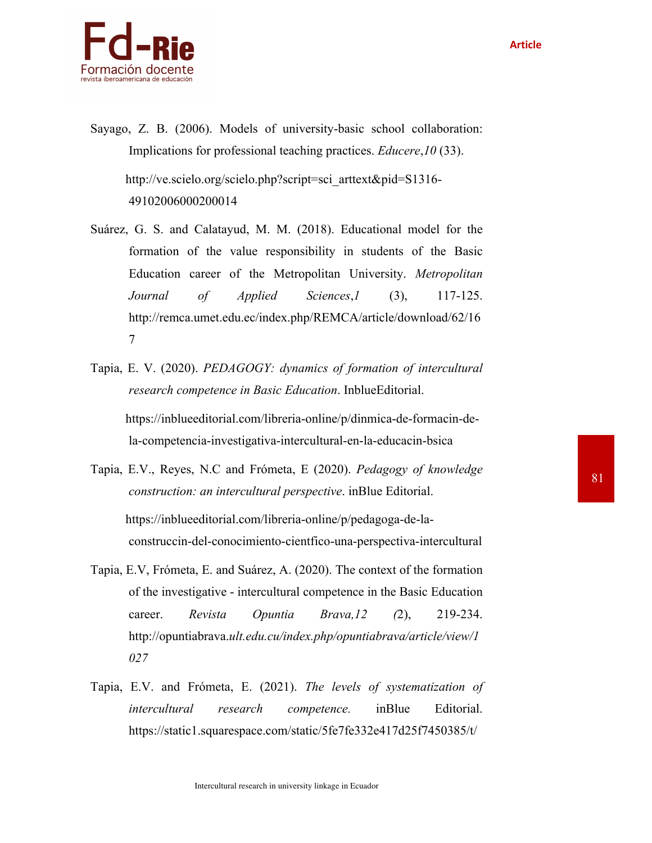

- Sayago, Z. B. (2006). Models of university-basic school collaboration: Implications for professional teaching practices. *Educere*,*10* (33). http://ve.scielo.org/scielo.php?script=sci\_arttext&pid=S1316- 49102006000200014
- Suárez, G. S. and Calatayud, M. M. (2018). Educational model for the formation of the value responsibility in students of the Basic Education career of the Metropolitan University. *Metropolitan Journal of Applied Sciences*,*1* (3), 117-125. http://remca.umet.edu.ec/index.php/REMCA/article/download/62/16 7
- Tapia, E. V. (2020). *PEDAGOGY: dynamics of formation of intercultural research competence in Basic Education*. InblueEditorial. https://inblueeditorial.com/libreria-online/p/dinmica-de-formacin-dela-competencia-investigativa-intercultural-en-la-educacin-bsica
- Tapia, E.V., Reyes, N.C and Frómeta, E (2020). *Pedagogy of knowledge construction: an intercultural perspective*. inBlue Editorial. https://inblueeditorial.com/libreria-online/p/pedagoga-de-laconstruccin-del-conocimiento-cientfico-una-perspectiva-intercultural
- Tapia, E.V, Frómeta, E. and Suárez, A. (2020). The context of the formation of the investigative - intercultural competence in the Basic Education career. *Revista Opuntia Brava,12 (*2), 219-234. http://opuntiabrava.*ult.edu.cu/index.php/opuntiabrava/article/view/1 027*
- Tapia, E.V. and Frómeta, E. (2021). *The levels of systematization of intercultural research competence.* inBlue Editorial. https://static1.squarespace.com/static/5fe7fe332e417d25f7450385/t/